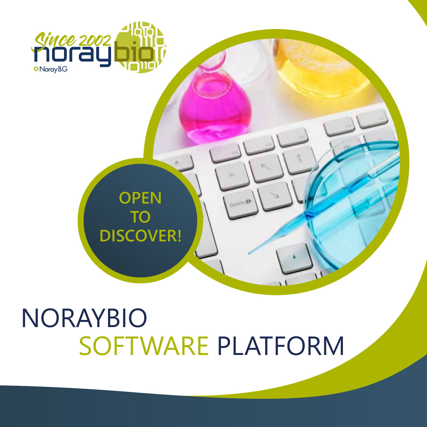# NORAYBIO SOFTWARE PLATFORM

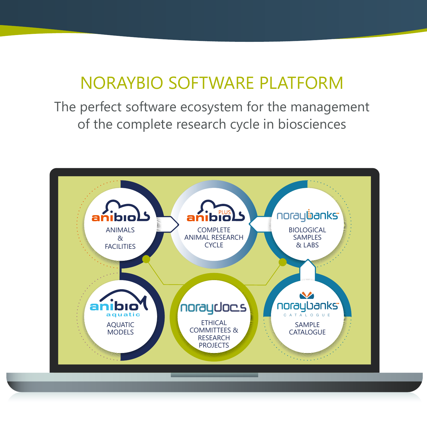### NORAYBIO SOFTWARE PLATFORM

The perfect software ecosystem for the management of the complete research cycle in biosciences

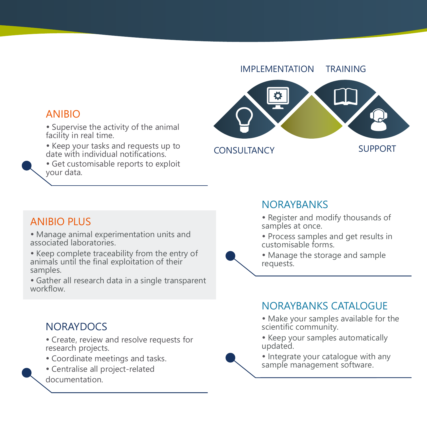

#### ANIBIO

- Supervise the activity of the animal facility in real time.
- Keep your tasks and requests up to date with individual notifications.
- Get customisable reports to exploit your data.

#### ANIBIO PLUS

- Manage animal experimentation units and associated laboratories.
- Keep complete traceability from the entry of animals until the final exploitation of their samples.
- Gather all research data in a single transparent workflow.

#### **NORAYDOCS**

- Create, review and resolve requests for research projects.
- Coordinate meetings and tasks.
- Centralise all project-related
- documentation.

#### **NORAYBANKS**

- Register and modify thousands of samples at once.
- Process samples and get results in customisable forms.
- Manage the storage and sample requests.

#### NORAYBANKS CATALOGUE

- Make your samples available for the scientific community.
- Keep your samples automatically updated.
- Integrate your catalogue with any sample management software.